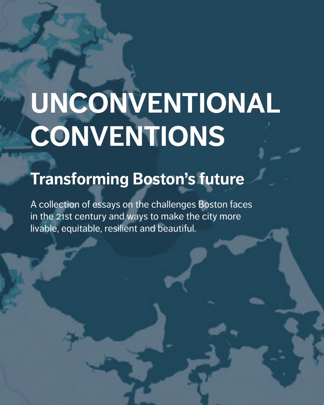# **UNCONVENTIONAL CONVENTIONS**

## **Transforming Boston's future**

A collection of essays on the challenges Boston faces in the 21st century and ways to make the city more livable, equitable, resilient and beautiful.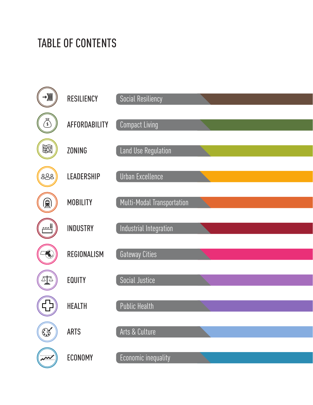## TABLE OF CONTENTS

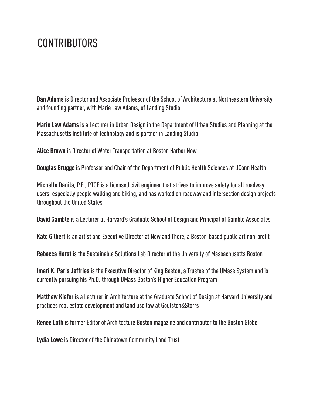#### **CONTRIBUTORS**

**Dan Adams** is Director and Associate Professor of the School of Architecture at Northeastern University and founding partner, with Marie Law Adams, of Landing Studio

**Marie Law Adams** is a Lecturer in Urban Design in the Department of Urban Studies and Planning at the Massachusetts Institute of Technology and is partner in Landing Studio

**Alice Brown** is Director of Water Transportation at Boston Harbor Now

**Douglas Brugge** is Professor and Chair of the Department of Public Health Sciences at UConn Health

**Michelle Danila**, P.E., PTOE is a licensed civil engineer that strives to improve safety for all roadway users, especially people walking and biking, and has worked on roadway and intersection design projects throughout the United States

**David Gamble** is a Lecturer at Harvard's Graduate School of Design and Principal of Gamble Associates

**Kate Gilbert** is an artist and Executive Director at Now and There, a Boston-based public art non-profit

**Rebecca Herst** is the Sustainable Solutions Lab Director at the University of Massachusetts Boston

**Imari K. Paris Jeffries** is the Executive Director of King Boston, a Trustee of the UMass System and is currently pursuing his Ph.D. through UMass Boston's Higher Education Program

**Matthew Kiefer** is a Lecturer in Architecture at the Graduate School of Design at Harvard University and practices real estate development and land use law at Goulston&Storrs

**Renee Loth** is former Editor of Architecture Boston magazine and contributor to the Boston Globe

**Lydia Lowe** is Director of the Chinatown Community Land Trust